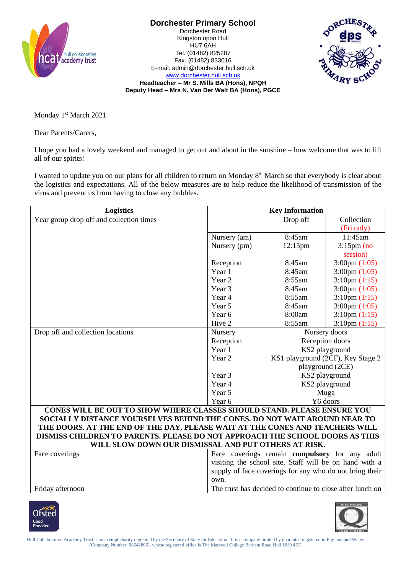

**Dorchester Primary School** Dorchester Road Kingston upon Hull

HU7 6AH Tel. (01482) 825207 Fax. (01482) 833016 E-mail: admin@dorchester.hull.sch.uk [www.dorchester.hull.sch.uk](http://www.dorchester.hull.sch.uk/)



**Headteacher – Mr S. Mills BA (Hons), NPQH Deputy Head – Mrs N. Van Der Walt BA (Hons), PGCE**

Monday 1<sup>st</sup> March 2021

Dear Parents/Carers,

I hope you had a lovely weekend and managed to get out and about in the sunshine – how welcome that was to lift all of our spirits!

I wanted to update you on our plans for all children to return on Monday 8<sup>th</sup> March so that everybody is clear about the logistics and expectations. All of the below measures are to help reduce the likelihood of transmission of the virus and prevent us from having to close any bubbles.

| Logistics                                                                    | <b>Key Information</b>                                  |                                                              |                                   |  |
|------------------------------------------------------------------------------|---------------------------------------------------------|--------------------------------------------------------------|-----------------------------------|--|
| Year group drop off and collection times                                     |                                                         | Drop off                                                     | Collection                        |  |
|                                                                              |                                                         |                                                              | (Fri only)                        |  |
|                                                                              | Nursery (am)                                            | 8:45am                                                       | 11:45am                           |  |
|                                                                              | Nursery (pm)                                            | $12:15$ pm                                                   | $3:15$ pm (no                     |  |
|                                                                              |                                                         |                                                              | session)                          |  |
|                                                                              | Reception                                               | 8:45am                                                       | $3:00 \text{pm} (1:05)$           |  |
|                                                                              | Year 1                                                  | 8:45am                                                       | $3:00 \text{pm} (1:05)$           |  |
|                                                                              | Year 2                                                  | 8:55am                                                       | $3:10 \text{pm} (1:15)$           |  |
|                                                                              | Year 3                                                  | 8:45am                                                       | $3:00 \text{pm} (1:05)$           |  |
|                                                                              | Year 4                                                  | 8:55am                                                       | $3:10 \text{pm} (1:15)$           |  |
|                                                                              | Year 5                                                  | 8:45am                                                       | $3:00 \text{pm} (1:05)$           |  |
|                                                                              | Year 6                                                  | 8:00am                                                       | $3:10 \text{pm} (1:15)$           |  |
|                                                                              | Hive 2                                                  | 8:55am                                                       | $3:10 \text{pm} (1:15)$           |  |
| Drop off and collection locations                                            | Nursery                                                 | Nursery doors<br>Reception doors<br>KS2 playground           |                                   |  |
|                                                                              | Reception                                               |                                                              |                                   |  |
|                                                                              | Year 1                                                  |                                                              |                                   |  |
|                                                                              | Year 2                                                  |                                                              | KS1 playground (2CF), Key Stage 2 |  |
|                                                                              |                                                         | playground (2CE)<br>KS2 playground<br>KS2 playground<br>Muga |                                   |  |
|                                                                              | Year 3                                                  |                                                              |                                   |  |
|                                                                              | Year 4                                                  |                                                              |                                   |  |
|                                                                              | Year 5                                                  |                                                              |                                   |  |
|                                                                              | Year 6                                                  | Y6 doors                                                     |                                   |  |
| CONES WILL BE OUT TO SHOW WHERE CLASSES SHOULD STAND. PLEASE ENSURE YOU      |                                                         |                                                              |                                   |  |
| SOCIALLY DISTANCE YOURSELVES BEHIND THE CONES. DO NOT WAIT AROUND NEAR TO    |                                                         |                                                              |                                   |  |
| THE DOORS. AT THE END OF THE DAY, PLEASE WAIT AT THE CONES AND TEACHERS WILL |                                                         |                                                              |                                   |  |
| DISMISS CHILDREN TO PARENTS. PLEASE DO NOT APPROACH THE SCHOOL DOORS AS THIS |                                                         |                                                              |                                   |  |
| WILL SLOW DOWN OUR DISMISSAL AND PUT OTHERS AT RISK.                         |                                                         |                                                              |                                   |  |
| Face coverings                                                               | Face coverings remain compulsory for any adult          |                                                              |                                   |  |
|                                                                              | visiting the school site. Staff will be on hand with a  |                                                              |                                   |  |
|                                                                              | cupply of face coverings for any who do not bring their |                                                              |                                   |  |

supply of face coverings for any who do not bring their own. Friday afternoon The trust has decided to continue to close after lunch on